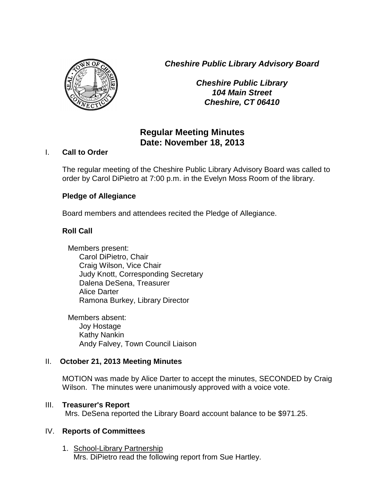*Cheshire Public Library Advisory Board*



*Cheshire Public Library 104 Main Street Cheshire, CT 06410*

# **Regular Meeting Minutes Date: November 18, 2013**

#### I. **Call to Order**

The regular meeting of the Cheshire Public Library Advisory Board was called to order by Carol DiPietro at 7:00 p.m. in the Evelyn Moss Room of the library.

# **Pledge of Allegiance**

Board members and attendees recited the Pledge of Allegiance.

# **Roll Call**

Members present: Carol DiPietro, Chair Craig Wilson, Vice Chair Judy Knott, Corresponding Secretary Dalena DeSena, Treasurer Alice Darter Ramona Burkey, Library Director

Members absent: Joy Hostage Kathy Nankin Andy Falvey, Town Council Liaison

# II. **October 21, 2013 Meeting Minutes**

MOTION was made by Alice Darter to accept the minutes, SECONDED by Craig Wilson. The minutes were unanimously approved with a voice vote.

# III. **Treasurer's Report**

Mrs. DeSena reported the Library Board account balance to be \$971.25.

# IV. **Reports of Committees**

1. School-Library Partnership Mrs. DiPietro read the following report from Sue Hartley.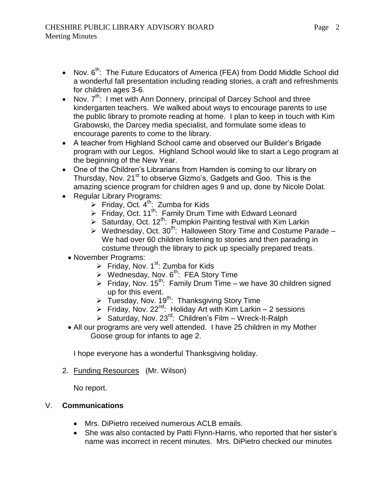- Nov.  $6<sup>th</sup>$ : The Future Educators of America (FEA) from Dodd Middle School did a wonderful fall presentation including reading stories, a craft and refreshments for children ages 3-6.
- Nov.  $7<sup>th</sup>$ : I met with Ann Donnery, principal of Darcey School and three kindergarten teachers. We walked about ways to encourage parents to use the public library to promote reading at home. I plan to keep in touch with Kim Grabowski, the Darcey media specialist, and formulate some ideas to encourage parents to come to the library.
- A teacher from Highland School came and observed our Builder's Brigade program with our Legos. Highland School would like to start a Lego program at the beginning of the New Year.
- One of the Children's Librarians from Hamden is coming to our library on Thursday, Nov. 21<sup>st</sup> to observe Gizmo's, Gadgets and Goo. This is the amazing science program for children ages 9 and up, done by Nicole Dolat.
- Regular Library Programs:
	- Friday, Oct.  $4^{th}$ : Zumba for Kids
	- Friday, Oct. 11<sup>th</sup>: Family Drum Time with Edward Leonard
	- Saturday, Oct.  $12^{th}$ : Pumpkin Painting festival with Kim Larkin
	- $\triangleright$  Wednesday, Oct. 30<sup>th</sup>: Halloween Story Time and Costume Parade We had over 60 children listening to stories and then parading in costume through the library to pick up specially prepared treats.
	- November Programs:
		- Friday, Nov.  $1^{st}$ : Zumba for Kids
		- $\triangleright$  Wednesday, Nov. 6<sup>th</sup>: FEA Story Time
		- Friday, Nov.  $15^{th}$ : Family Drum Time we have 30 children signed up for this event.
		- $\triangleright$  Tuesday, Nov. 19<sup>th</sup>: Thanksgiving Story Time
		- Friday, Nov. 22<sup>nd</sup>: Holiday Art with Kim Larkin 2 sessions
		- $\triangleright$  Saturday, Nov. 23<sup>rd</sup>: Children's Film Wreck-It-Ralph
	- All our programs are very well attended. I have 25 children in my Mother Goose group for infants to age 2.

I hope everyone has a wonderful Thanksgiving holiday.

2. Funding Resources (Mr. Wilson)

No report.

# V. **Communications**

- Mrs. DiPietro received numerous ACLB emails.
- She was also contacted by Patti Flynn-Harris, who reported that her sister's name was incorrect in recent minutes. Mrs. DiPietro checked our minutes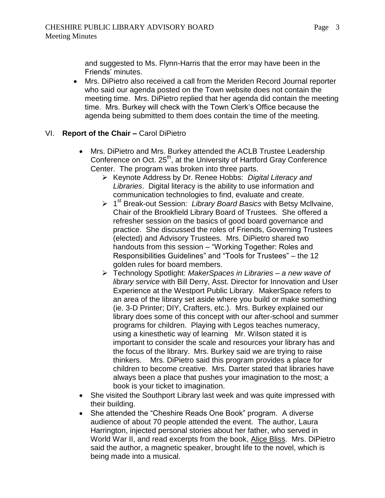and suggested to Ms. Flynn-Harris that the error may have been in the Friends' minutes.

 Mrs. DiPietro also received a call from the Meriden Record Journal reporter who said our agenda posted on the Town website does not contain the meeting time. Mrs. DiPietro replied that her agenda did contain the meeting time. Mrs. Burkey will check with the Town Clerk's Office because the agenda being submitted to them does contain the time of the meeting.

# VI. **Report of the Chair –** Carol DiPietro

- Mrs. DiPietro and Mrs. Burkey attended the ACLB Trustee Leadership Conference on Oct. 25<sup>th</sup>, at the University of Hartford Gray Conference Center. The program was broken into three parts.
	- Keynote Address by Dr. Renee Hobbs: *Digital Literacy and Libraries*. Digital literacy is the ability to use information and communication technologies to find, evaluate and create.
	- > 1<sup>st</sup> Break-out Session: Library Board Basics with Betsy McIlvaine, Chair of the Brookfield Library Board of Trustees. She offered a refresher session on the basics of good board governance and practice. She discussed the roles of Friends, Governing Trustees (elected) and Advisory Trustees. Mrs. DiPietro shared two handouts from this session – "Working Together: Roles and Responsibilities Guidelines" and "Tools for Trustees" – the 12 golden rules for board members.
	- Technology Spotlight: *MakerSpaces in Libraries – a new wave of library service* with Bill Derry, Asst. Director for Innovation and User Experience at the Westport Public Library. MakerSpace refers to an area of the library set aside where you build or make something (ie. 3-D Printer; DIY, Crafters, etc.). Mrs. Burkey explained our library does some of this concept with our after-school and summer programs for children. Playing with Legos teaches numeracy, using a kinesthetic way of learning Mr. Wilson stated it is important to consider the scale and resources your library has and the focus of the library. Mrs. Burkey said we are trying to raise thinkers. Mrs. DiPietro said this program provides a place for children to become creative. Mrs. Darter stated that libraries have always been a place that pushes your imagination to the most; a book is your ticket to imagination.
- She visited the Southport Library last week and was quite impressed with their building.
- She attended the "Cheshire Reads One Book" program. A diverse audience of about 70 people attended the event. The author, Laura Harrington, injected personal stories about her father, who served in World War II, and read excerpts from the book, Alice Bliss. Mrs. DiPietro said the author, a magnetic speaker, brought life to the novel, which is being made into a musical.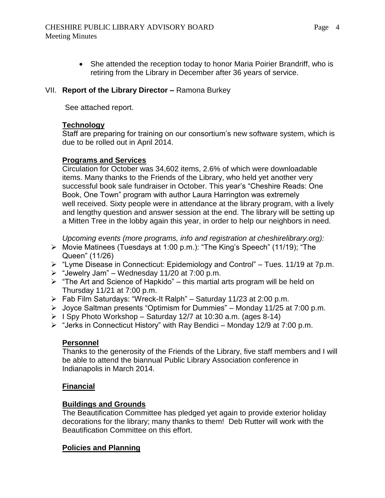• She attended the reception today to honor Maria Poirier Brandriff, who is retiring from the Library in December after 36 years of service.

#### VII. **Report of the Library Director –** Ramona Burkey

See attached report.

#### **Technology**

Staff are preparing for training on our consortium's new software system, which is due to be rolled out in April 2014.

# **Programs and Services**

Circulation for October was 34,602 items, 2.6% of which were downloadable items. Many thanks to the Friends of the Library, who held yet another very successful book sale fundraiser in October. This year's "Cheshire Reads: One Book, One Town" program with author Laura Harrington was extremely well received. Sixty people were in attendance at the library program, with a lively and lengthy question and answer session at the end. The library will be setting up a Mitten Tree in the lobby again this year, in order to help our neighbors in need.

*Upcoming events (more programs, info and registration at cheshirelibrary.org):*

- Movie Matinees (Tuesdays at 1:00 p.m.): "The King's Speech" (11/19); "The Queen" (11/26)
- $\triangleright$  "Lyme Disease in Connecticut: Epidemiology and Control" Tues. 11/19 at 7p.m.
- $\triangleright$  "Jewelry Jam" Wednesday 11/20 at 7:00 p.m.
- $\triangleright$  "The Art and Science of Hapkido" this martial arts program will be held on Thursday 11/21 at 7:00 p.m.
- $\triangleright$  Fab Film Saturdays: "Wreck-It Ralph" Saturday 11/23 at 2:00 p.m.
- $\triangleright$  Joyce Saltman presents "Optimism for Dummies" Monday 11/25 at 7:00 p.m.
- $\triangleright$  I Spy Photo Workshop Saturday 12/7 at 10:30 a.m. (ages 8-14)
- $\triangleright$  "Jerks in Connecticut History" with Ray Bendici Monday 12/9 at 7:00 p.m.

# **Personnel**

Thanks to the generosity of the Friends of the Library, five staff members and I will be able to attend the biannual Public Library Association conference in Indianapolis in March 2014.

# **Financial**

# **Buildings and Grounds**

The Beautification Committee has pledged yet again to provide exterior holiday decorations for the library; many thanks to them! Deb Rutter will work with the Beautification Committee on this effort.

# **Policies and Planning**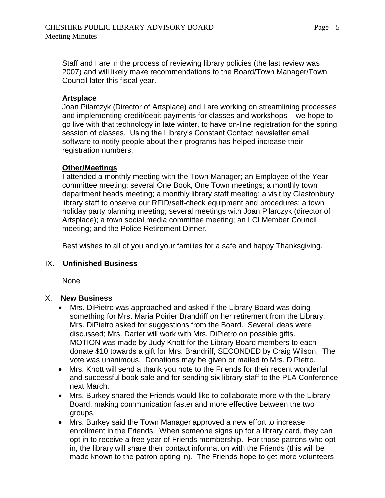Staff and I are in the process of reviewing library policies (the last review was 2007) and will likely make recommendations to the Board/Town Manager/Town Council later this fiscal year.

#### **Artsplace**

Joan Pilarczyk (Director of Artsplace) and I are working on streamlining processes and implementing credit/debit payments for classes and workshops – we hope to go live with that technology in late winter, to have on-line registration for the spring session of classes. Using the Library's Constant Contact newsletter email software to notify people about their programs has helped increase their registration numbers.

#### **Other/Meetings**

I attended a monthly meeting with the Town Manager; an Employee of the Year committee meeting; several One Book, One Town meetings; a monthly town department heads meeting; a monthly library staff meeting; a visit by Glastonbury library staff to observe our RFID/self-check equipment and procedures; a town holiday party planning meeting; several meetings with Joan Pilarczyk (director of Artsplace); a town social media committee meeting; an LCI Member Council meeting; and the Police Retirement Dinner.

Best wishes to all of you and your families for a safe and happy Thanksgiving.

#### IX. **Unfinished Business**

None

#### X. **New Business**

- Mrs. DiPietro was approached and asked if the Library Board was doing something for Mrs. Maria Poirier Brandriff on her retirement from the Library. Mrs. DiPietro asked for suggestions from the Board. Several ideas were discussed; Mrs. Darter will work with Mrs. DiPietro on possible gifts. MOTION was made by Judy Knott for the Library Board members to each donate \$10 towards a gift for Mrs. Brandriff, SECONDED by Craig Wilson. The vote was unanimous. Donations may be given or mailed to Mrs. DiPietro.
- Mrs. Knott will send a thank you note to the Friends for their recent wonderful and successful book sale and for sending six library staff to the PLA Conference next March.
- Mrs. Burkey shared the Friends would like to collaborate more with the Library Board, making communication faster and more effective between the two groups.
- Mrs. Burkey said the Town Manager approved a new effort to increase enrollment in the Friends. When someone signs up for a library card, they can opt in to receive a free year of Friends membership. For those patrons who opt in, the library will share their contact information with the Friends (this will be made known to the patron opting in). The Friends hope to get more volunteers